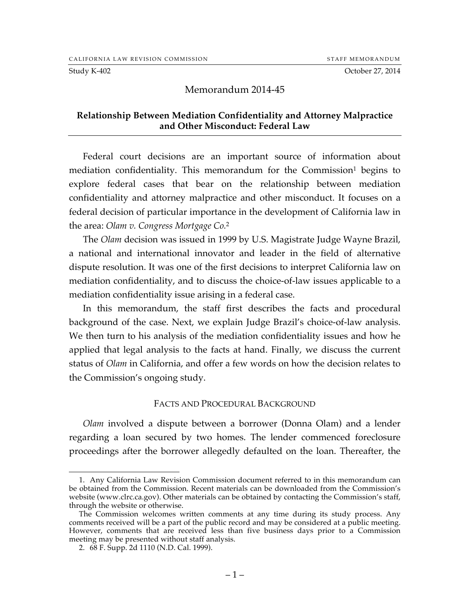Study K-402 Cotober 27, 2014

### Memorandum 2014-45

### **Relationship Between Mediation Confidentiality and Attorney Malpractice and Other Misconduct: Federal Law**

Federal court decisions are an important source of information about mediation confidentiality. This memorandum for the Commission<sup>1</sup> begins to explore federal cases that bear on the relationship between mediation confidentiality and attorney malpractice and other misconduct. It focuses on a federal decision of particular importance in the development of California law in the area: *Olam v. Congress Mortgage Co.*<sup>2</sup>

The *Olam* decision was issued in 1999 by U.S. Magistrate Judge Wayne Brazil, a national and international innovator and leader in the field of alternative dispute resolution. It was one of the first decisions to interpret California law on mediation confidentiality, and to discuss the choice-of-law issues applicable to a mediation confidentiality issue arising in a federal case.

In this memorandum, the staff first describes the facts and procedural background of the case. Next, we explain Judge Brazil's choice-of-law analysis. We then turn to his analysis of the mediation confidentiality issues and how he applied that legal analysis to the facts at hand. Finally, we discuss the current status of *Olam* in California, and offer a few words on how the decision relates to the Commission's ongoing study.

#### FACTS AND PROCEDURAL BACKGROUND

*Olam* involved a dispute between a borrower (Donna Olam) and a lender regarding a loan secured by two homes. The lender commenced foreclosure proceedings after the borrower allegedly defaulted on the loan. Thereafter, the

 <sup>1.</sup> Any California Law Revision Commission document referred to in this memorandum can be obtained from the Commission. Recent materials can be downloaded from the Commission's website (www.clrc.ca.gov). Other materials can be obtained by contacting the Commission's staff, through the website or otherwise.

The Commission welcomes written comments at any time during its study process. Any comments received will be a part of the public record and may be considered at a public meeting. However, comments that are received less than five business days prior to a Commission meeting may be presented without staff analysis.

<sup>2.</sup> 68 F. Supp. 2d 1110 (N.D. Cal. 1999).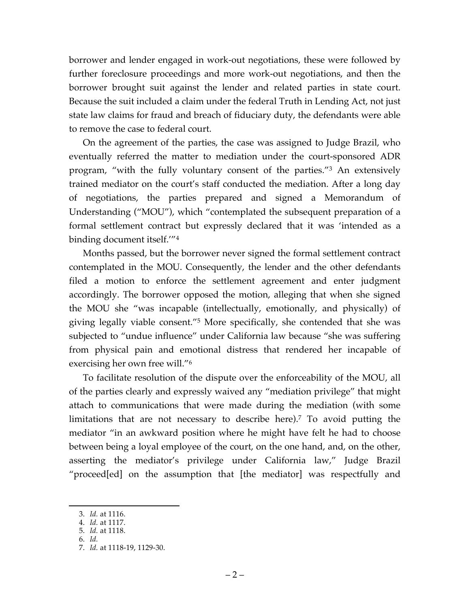borrower and lender engaged in work-out negotiations, these were followed by further foreclosure proceedings and more work-out negotiations, and then the borrower brought suit against the lender and related parties in state court. Because the suit included a claim under the federal Truth in Lending Act, not just state law claims for fraud and breach of fiduciary duty, the defendants were able to remove the case to federal court.

On the agreement of the parties, the case was assigned to Judge Brazil, who eventually referred the matter to mediation under the court-sponsored ADR program, "with the fully voluntary consent of the parties."3 An extensively trained mediator on the court's staff conducted the mediation. After a long day of negotiations, the parties prepared and signed a Memorandum of Understanding ("MOU"), which "contemplated the subsequent preparation of a formal settlement contract but expressly declared that it was 'intended as a binding document itself.'"4

Months passed, but the borrower never signed the formal settlement contract contemplated in the MOU. Consequently, the lender and the other defendants filed a motion to enforce the settlement agreement and enter judgment accordingly. The borrower opposed the motion, alleging that when she signed the MOU she "was incapable (intellectually, emotionally, and physically) of giving legally viable consent."5 More specifically, she contended that she was subjected to "undue influence" under California law because "she was suffering from physical pain and emotional distress that rendered her incapable of exercising her own free will."6

To facilitate resolution of the dispute over the enforceability of the MOU, all of the parties clearly and expressly waived any "mediation privilege" that might attach to communications that were made during the mediation (with some limitations that are not necessary to describe here).<sup>7</sup> To avoid putting the mediator "in an awkward position where he might have felt he had to choose between being a loyal employee of the court, on the one hand, and, on the other, asserting the mediator's privilege under California law," Judge Brazil "proceed[ed] on the assumption that [the mediator] was respectfully and

 <sup>3.</sup> *Id.* at 1116.

<sup>4.</sup> *Id.* at 1117.

<sup>5.</sup> *Id.* at 1118.

<sup>6.</sup> *Id.*

<sup>7.</sup> *Id.* at 1118-19, 1129-30.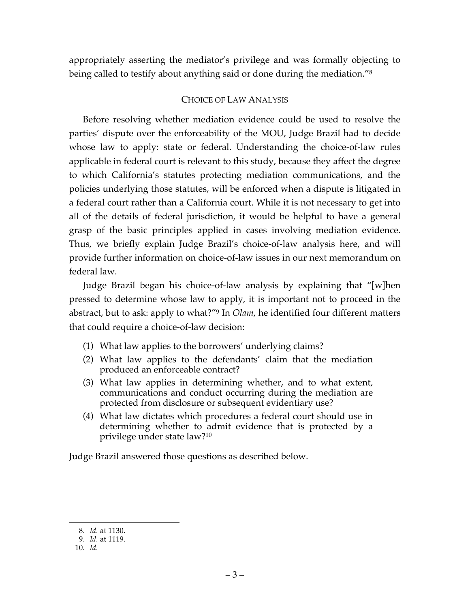appropriately asserting the mediator's privilege and was formally objecting to being called to testify about anything said or done during the mediation."8

# CHOICE OF LAW ANALYSIS

Before resolving whether mediation evidence could be used to resolve the parties' dispute over the enforceability of the MOU, Judge Brazil had to decide whose law to apply: state or federal. Understanding the choice-of-law rules applicable in federal court is relevant to this study, because they affect the degree to which California's statutes protecting mediation communications, and the policies underlying those statutes, will be enforced when a dispute is litigated in a federal court rather than a California court. While it is not necessary to get into all of the details of federal jurisdiction, it would be helpful to have a general grasp of the basic principles applied in cases involving mediation evidence. Thus, we briefly explain Judge Brazil's choice-of-law analysis here, and will provide further information on choice-of-law issues in our next memorandum on federal law.

Judge Brazil began his choice-of-law analysis by explaining that "[w]hen pressed to determine whose law to apply, it is important not to proceed in the abstract, but to ask: apply to what?"9 In *Olam*, he identified four different matters that could require a choice-of-law decision:

- (1) What law applies to the borrowers' underlying claims?
- (2) What law applies to the defendants' claim that the mediation produced an enforceable contract?
- (3) What law applies in determining whether, and to what extent, communications and conduct occurring during the mediation are protected from disclosure or subsequent evidentiary use?
- (4) What law dictates which procedures a federal court should use in determining whether to admit evidence that is protected by a privilege under state law?10

Judge Brazil answered those questions as described below.

 <sup>8.</sup> *Id.* at 1130.

<sup>9.</sup> *Id.* at 1119.

<sup>10.</sup> *Id.*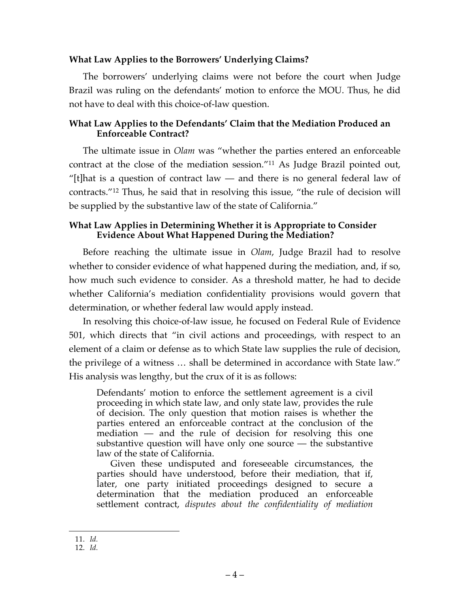## **What Law Applies to the Borrowers' Underlying Claims?**

The borrowers' underlying claims were not before the court when Judge Brazil was ruling on the defendants' motion to enforce the MOU. Thus, he did not have to deal with this choice-of-law question.

## **What Law Applies to the Defendants' Claim that the Mediation Produced an Enforceable Contract?**

The ultimate issue in *Olam* was "whether the parties entered an enforceable contract at the close of the mediation session."11 As Judge Brazil pointed out, "[t]hat is a question of contract law — and there is no general federal law of contracts."12 Thus, he said that in resolving this issue, "the rule of decision will be supplied by the substantive law of the state of California."

# **What Law Applies in Determining Whether it is Appropriate to Consider Evidence About What Happened During the Mediation?**

Before reaching the ultimate issue in *Olam*, Judge Brazil had to resolve whether to consider evidence of what happened during the mediation, and, if so, how much such evidence to consider. As a threshold matter, he had to decide whether California's mediation confidentiality provisions would govern that determination, or whether federal law would apply instead.

In resolving this choice-of-law issue, he focused on Federal Rule of Evidence 501, which directs that "in civil actions and proceedings, with respect to an element of a claim or defense as to which State law supplies the rule of decision, the privilege of a witness … shall be determined in accordance with State law." His analysis was lengthy, but the crux of it is as follows:

Defendants' motion to enforce the settlement agreement is a civil proceeding in which state law, and only state law, provides the rule of decision. The only question that motion raises is whether the parties entered an enforceable contract at the conclusion of the mediation — and the rule of decision for resolving this one substantive question will have only one source — the substantive law of the state of California.

Given these undisputed and foreseeable circumstances, the parties should have understood, before their mediation, that if, later, one party initiated proceedings designed to secure a determination that the mediation produced an enforceable settlement contract, *disputes about the confidentiality of mediation* 

 <sup>11.</sup> *Id.*

<sup>12.</sup> *Id.*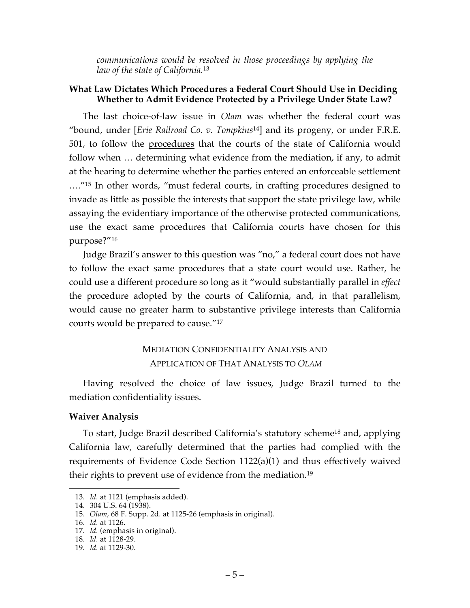*communications would be resolved in those proceedings by applying the law of the state of California.*<sup>13</sup>

# **What Law Dictates Which Procedures a Federal Court Should Use in Deciding Whether to Admit Evidence Protected by a Privilege Under State Law?**

The last choice-of-law issue in *Olam* was whether the federal court was "bound, under [*Erie Railroad Co. v. Tompkins*14] and its progeny, or under F.R.E. 501, to follow the procedures that the courts of the state of California would follow when … determining what evidence from the mediation, if any, to admit at the hearing to determine whether the parties entered an enforceable settlement …."15 In other words, "must federal courts, in crafting procedures designed to invade as little as possible the interests that support the state privilege law, while assaying the evidentiary importance of the otherwise protected communications, use the exact same procedures that California courts have chosen for this purpose?"16

Judge Brazil's answer to this question was "no," a federal court does not have to follow the exact same procedures that a state court would use. Rather, he could use a different procedure so long as it "would substantially parallel in *effect* the procedure adopted by the courts of California, and, in that parallelism, would cause no greater harm to substantive privilege interests than California courts would be prepared to cause."17

# MEDIATION CONFIDENTIALITY ANALYSIS AND APPLICATION OF THAT ANALYSIS TO *OLAM*

Having resolved the choice of law issues, Judge Brazil turned to the mediation confidentiality issues.

# **Waiver Analysis**

To start, Judge Brazil described California's statutory scheme18 and, applying California law, carefully determined that the parties had complied with the requirements of Evidence Code Section 1122(a)(1) and thus effectively waived their rights to prevent use of evidence from the mediation.19

 <sup>13.</sup> *Id.* at 1121 (emphasis added).

<sup>14.</sup> 304 U.S. 64 (1938).

<sup>15.</sup> *Olam*, 68 F. Supp. 2d*.* at 1125-26 (emphasis in original).

<sup>16.</sup> *Id.* at 1126.

<sup>17.</sup> *Id.* (emphasis in original).

<sup>18.</sup> *Id.* at 1128-29.

<sup>19.</sup> *Id.* at 1129-30.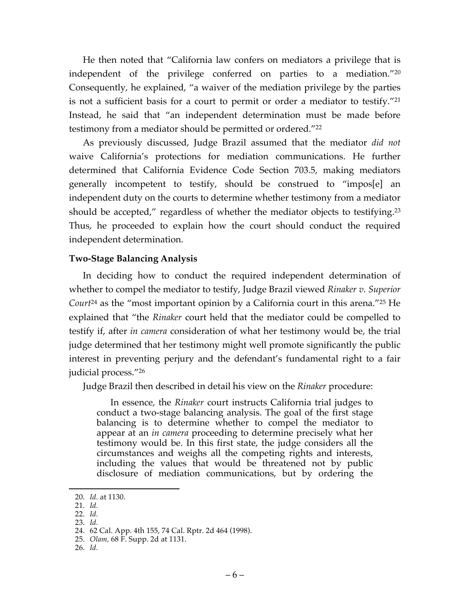He then noted that "California law confers on mediators a privilege that is independent of the privilege conferred on parties to a mediation."20 Consequently, he explained, "a waiver of the mediation privilege by the parties is not a sufficient basis for a court to permit or order a mediator to testify."21 Instead, he said that "an independent determination must be made before testimony from a mediator should be permitted or ordered."22

As previously discussed, Judge Brazil assumed that the mediator *did not* waive California's protections for mediation communications. He further determined that California Evidence Code Section 703.5, making mediators generally incompetent to testify, should be construed to "impos[e] an independent duty on the courts to determine whether testimony from a mediator should be accepted," regardless of whether the mediator objects to testifying.<sup>23</sup> Thus, he proceeded to explain how the court should conduct the required independent determination.

### **Two-Stage Balancing Analysis**

In deciding how to conduct the required independent determination of whether to compel the mediator to testify, Judge Brazil viewed *Rinaker v. Superior Court*<sup>24</sup> as the "most important opinion by a California court in this arena."25 He explained that "the *Rinaker* court held that the mediator could be compelled to testify if, after *in camera* consideration of what her testimony would be, the trial judge determined that her testimony might well promote significantly the public interest in preventing perjury and the defendant's fundamental right to a fair judicial process."26

Judge Brazil then described in detail his view on the *Rinaker* procedure:

In essence, the *Rinaker* court instructs California trial judges to conduct a two-stage balancing analysis. The goal of the first stage balancing is to determine whether to compel the mediator to appear at an *in camera* proceeding to determine precisely what her testimony would be. In this first state, the judge considers all the circumstances and weighs all the competing rights and interests, including the values that would be threatened not by public disclosure of mediation communications, but by ordering the

- 21. *Id.*
- 22. *Id.* 23. *Id.*

26. *Id.*

 <sup>20.</sup> *Id.* at 1130.

<sup>24.</sup> 62 Cal. App. 4th 155, 74 Cal. Rptr. 2d 464 (1998).

<sup>25.</sup> *Olam,* 68 F. Supp. 2d at 1131.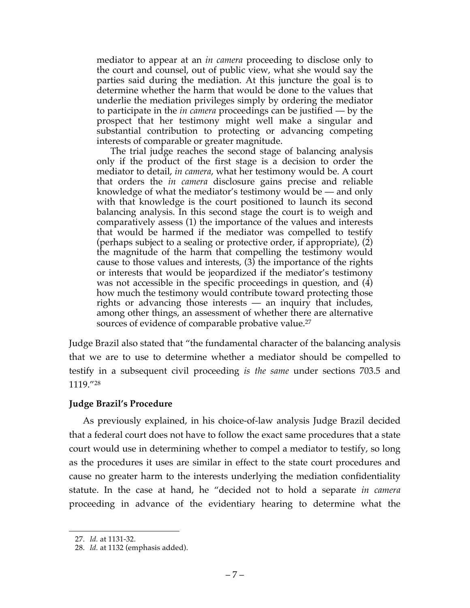mediator to appear at an *in camera* proceeding to disclose only to the court and counsel, out of public view, what she would say the parties said during the mediation. At this juncture the goal is to determine whether the harm that would be done to the values that underlie the mediation privileges simply by ordering the mediator to participate in the *in camera* proceedings can be justified — by the prospect that her testimony might well make a singular and substantial contribution to protecting or advancing competing interests of comparable or greater magnitude.

The trial judge reaches the second stage of balancing analysis only if the product of the first stage is a decision to order the mediator to detail, *in camera*, what her testimony would be. A court that orders the *in camera* disclosure gains precise and reliable knowledge of what the mediator's testimony would be — and only with that knowledge is the court positioned to launch its second balancing analysis. In this second stage the court is to weigh and comparatively assess (1) the importance of the values and interests that would be harmed if the mediator was compelled to testify (perhaps subject to a sealing or protective order, if appropriate), (2) the magnitude of the harm that compelling the testimony would cause to those values and interests,  $(3)$  the importance of the rights or interests that would be jeopardized if the mediator's testimony was not accessible in the specific proceedings in question, and (4) how much the testimony would contribute toward protecting those rights or advancing those interests — an inquiry that includes, among other things, an assessment of whether there are alternative sources of evidence of comparable probative value.<sup>27</sup>

Judge Brazil also stated that "the fundamental character of the balancing analysis that we are to use to determine whether a mediator should be compelled to testify in a subsequent civil proceeding *is the same* under sections 703.5 and 1119."28

### **Judge Brazil's Procedure**

As previously explained, in his choice-of-law analysis Judge Brazil decided that a federal court does not have to follow the exact same procedures that a state court would use in determining whether to compel a mediator to testify, so long as the procedures it uses are similar in effect to the state court procedures and cause no greater harm to the interests underlying the mediation confidentiality statute. In the case at hand, he "decided not to hold a separate *in camera*  proceeding in advance of the evidentiary hearing to determine what the

 <sup>27.</sup> *Id.* at 1131-32.

<sup>28.</sup> *Id.* at 1132 (emphasis added).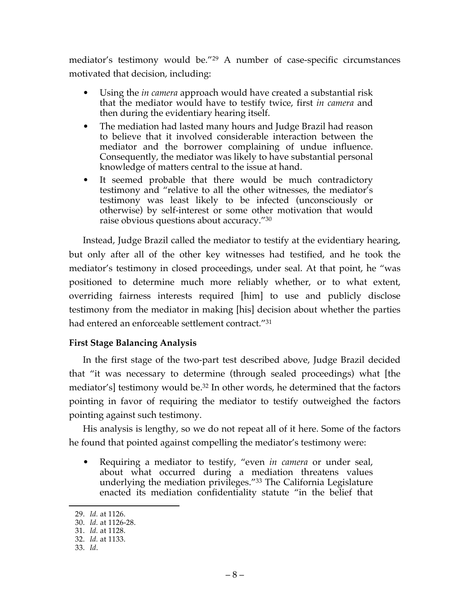mediator's testimony would be."29 A number of case-specific circumstances motivated that decision, including:

- Using the *in camera* approach would have created a substantial risk that the mediator would have to testify twice, first *in camera* and then during the evidentiary hearing itself.
- The mediation had lasted many hours and Judge Brazil had reason to believe that it involved considerable interaction between the mediator and the borrower complaining of undue influence. Consequently, the mediator was likely to have substantial personal knowledge of matters central to the issue at hand.
- It seemed probable that there would be much contradictory testimony and "relative to all the other witnesses, the mediator's testimony was least likely to be infected (unconsciously or otherwise) by self-interest or some other motivation that would raise obvious questions about accuracy."30

Instead, Judge Brazil called the mediator to testify at the evidentiary hearing, but only after all of the other key witnesses had testified, and he took the mediator's testimony in closed proceedings, under seal. At that point, he "was positioned to determine much more reliably whether, or to what extent, overriding fairness interests required [him] to use and publicly disclose testimony from the mediator in making [his] decision about whether the parties had entered an enforceable settlement contract."<sup>31</sup>

# **First Stage Balancing Analysis**

In the first stage of the two-part test described above, Judge Brazil decided that "it was necessary to determine (through sealed proceedings) what [the mediator's] testimony would be.<sup>32</sup> In other words, he determined that the factors pointing in favor of requiring the mediator to testify outweighed the factors pointing against such testimony.

His analysis is lengthy, so we do not repeat all of it here. Some of the factors he found that pointed against compelling the mediator's testimony were:

• Requiring a mediator to testify, "even *in camera* or under seal, about what occurred during a mediation threatens values underlying the mediation privileges."33 The California Legislature enacted its mediation confidentiality statute "in the belief that

 <sup>29.</sup> *Id.* at 1126.

<sup>30.</sup> *Id.* at 1126-28.

<sup>31.</sup> *Id.* at 1128.

<sup>32.</sup> *Id.* at 1133.

<sup>33.</sup> *Id*.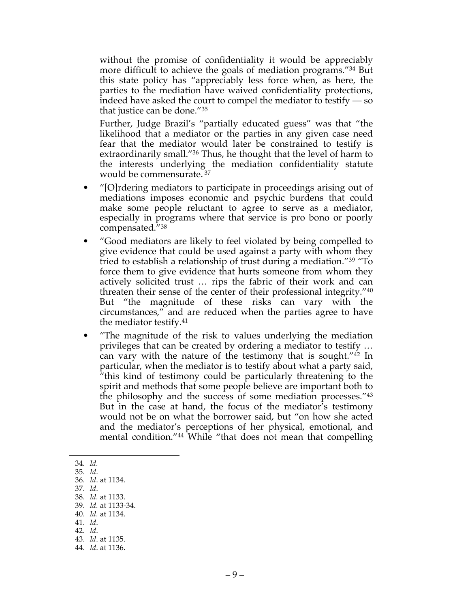without the promise of confidentiality it would be appreciably more difficult to achieve the goals of mediation programs."34 But this state policy has "appreciably less force when, as here, the parties to the mediation have waived confidentiality protections, indeed have asked the court to compel the mediator to testify — so that justice can be done."35

Further, Judge Brazil's "partially educated guess" was that "the likelihood that a mediator or the parties in any given case need fear that the mediator would later be constrained to testify is extraordinarily small."36 Thus, he thought that the level of harm to the interests underlying the mediation confidentiality statute would be commensurate. <sup>37</sup>

- "[O]rdering mediators to participate in proceedings arising out of mediations imposes economic and psychic burdens that could make some people reluctant to agree to serve as a mediator, especially in programs where that service is pro bono or poorly compensated."38
- "Good mediators are likely to feel violated by being compelled to give evidence that could be used against a party with whom they tried to establish a relationship of trust during a mediation."39 "To force them to give evidence that hurts someone from whom they actively solicited trust … rips the fabric of their work and can threaten their sense of the center of their professional integrity."40 But "the magnitude of these risks can vary with the circumstances," and are reduced when the parties agree to have the mediator testify.41
- "The magnitude of the risk to values underlying the mediation privileges that can be created by ordering a mediator to testify … can vary with the nature of the testimony that is sought." $42 \text{ In }$ particular, when the mediator is to testify about what a party said, "this kind of testimony could be particularly threatening to the spirit and methods that some people believe are important both to the philosophy and the success of some mediation processes."43 But in the case at hand, the focus of the mediator's testimony would not be on what the borrower said, but "on how she acted and the mediator's perceptions of her physical, emotional, and mental condition."44 While "that does not mean that compelling

37. *Id*.

- 40. *Id.* at 1134. 41. *Id*.
- 42. *Id*.
- 43. *Id*. at 1135.

 <sup>34.</sup> *Id.*

<sup>35.</sup> *Id*.

<sup>36.</sup> *Id*. at 1134.

<sup>38.</sup> *Id.* at 1133.

<sup>39.</sup> *Id.* at 1133-34.

<sup>44.</sup> *Id*. at 1136.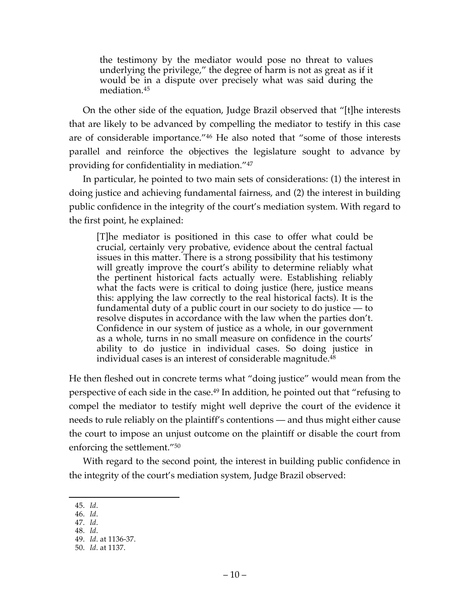the testimony by the mediator would pose no threat to values underlying the privilege," the degree of harm is not as great as if it would be in a dispute over precisely what was said during the mediation.45

On the other side of the equation, Judge Brazil observed that "[t]he interests that are likely to be advanced by compelling the mediator to testify in this case are of considerable importance."46 He also noted that "some of those interests parallel and reinforce the objectives the legislature sought to advance by providing for confidentiality in mediation."47

In particular, he pointed to two main sets of considerations: (1) the interest in doing justice and achieving fundamental fairness, and (2) the interest in building public confidence in the integrity of the court's mediation system. With regard to the first point, he explained:

[T]he mediator is positioned in this case to offer what could be crucial, certainly very probative, evidence about the central factual issues in this matter. There is a strong possibility that his testimony will greatly improve the court's ability to determine reliably what the pertinent historical facts actually were. Establishing reliably what the facts were is critical to doing justice (here, justice means this: applying the law correctly to the real historical facts). It is the fundamental duty of a public court in our society to do justice — to resolve disputes in accordance with the law when the parties don't. Confidence in our system of justice as a whole, in our government as a whole, turns in no small measure on confidence in the courts' ability to do justice in individual cases. So doing justice in individual cases is an interest of considerable magnitude.<sup>48</sup>

He then fleshed out in concrete terms what "doing justice" would mean from the perspective of each side in the case.49 In addition, he pointed out that "refusing to compel the mediator to testify might well deprive the court of the evidence it needs to rule reliably on the plaintiff's contentions — and thus might either cause the court to impose an unjust outcome on the plaintiff or disable the court from enforcing the settlement."50

With regard to the second point, the interest in building public confidence in the integrity of the court's mediation system, Judge Brazil observed:

 <sup>45.</sup> *Id*.

<sup>46.</sup> *Id*.

<sup>47.</sup> *Id*. 48. *Id*.

<sup>49.</sup> *Id*. at 1136-37.

<sup>50.</sup> *Id*. at 1137.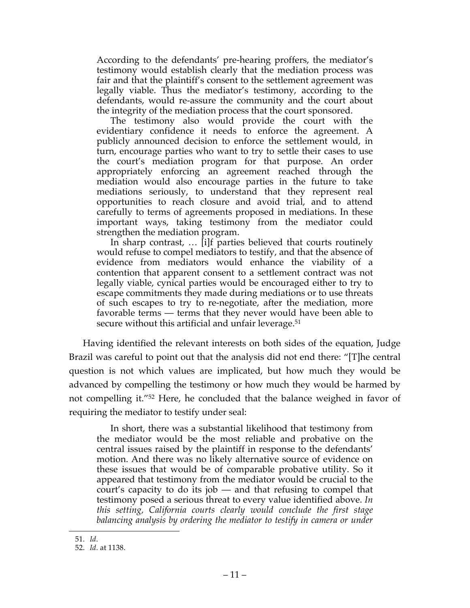According to the defendants' pre-hearing proffers, the mediator's testimony would establish clearly that the mediation process was fair and that the plaintiff's consent to the settlement agreement was legally viable. Thus the mediator's testimony, according to the defendants, would re-assure the community and the court about the integrity of the mediation process that the court sponsored.

The testimony also would provide the court with the evidentiary confidence it needs to enforce the agreement. A publicly announced decision to enforce the settlement would, in turn, encourage parties who want to try to settle their cases to use the court's mediation program for that purpose. An order appropriately enforcing an agreement reached through the mediation would also encourage parties in the future to take mediations seriously, to understand that they represent real opportunities to reach closure and avoid trial, and to attend carefully to terms of agreements proposed in mediations. In these important ways, taking testimony from the mediator could strengthen the mediation program.

In sharp contrast, … [i]f parties believed that courts routinely would refuse to compel mediators to testify, and that the absence of evidence from mediators would enhance the viability of a contention that apparent consent to a settlement contract was not legally viable, cynical parties would be encouraged either to try to escape commitments they made during mediations or to use threats of such escapes to try to re-negotiate, after the mediation, more favorable terms — terms that they never would have been able to secure without this artificial and unfair leverage.<sup>51</sup>

Having identified the relevant interests on both sides of the equation, Judge Brazil was careful to point out that the analysis did not end there: "[T]he central question is not which values are implicated, but how much they would be advanced by compelling the testimony or how much they would be harmed by not compelling it."52 Here, he concluded that the balance weighed in favor of requiring the mediator to testify under seal:

In short, there was a substantial likelihood that testimony from the mediator would be the most reliable and probative on the central issues raised by the plaintiff in response to the defendants' motion. And there was no likely alternative source of evidence on these issues that would be of comparable probative utility. So it appeared that testimony from the mediator would be crucial to the court's capacity to do its job — and that refusing to compel that testimony posed a serious threat to every value identified above. *In this setting, California courts clearly would conclude the first stage balancing analysis by ordering the mediator to testify in camera or under* 

 <sup>51.</sup> *Id*.

<sup>52.</sup> *Id*. at 1138.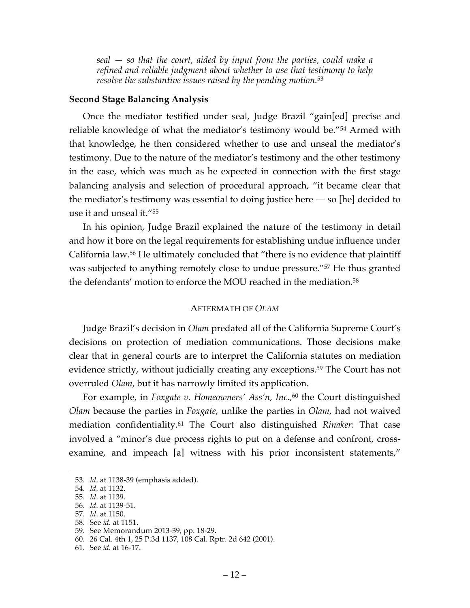*seal — so that the court, aided by input from the parties, could make a refined and reliable judgment about whether to use that testimony to help resolve the substantive issues raised by the pending motion.*<sup>53</sup>

### **Second Stage Balancing Analysis**

Once the mediator testified under seal, Judge Brazil "gain[ed] precise and reliable knowledge of what the mediator's testimony would be."54 Armed with that knowledge, he then considered whether to use and unseal the mediator's testimony. Due to the nature of the mediator's testimony and the other testimony in the case, which was much as he expected in connection with the first stage balancing analysis and selection of procedural approach, "it became clear that the mediator's testimony was essential to doing justice here — so [he] decided to use it and unseal it."55

In his opinion, Judge Brazil explained the nature of the testimony in detail and how it bore on the legal requirements for establishing undue influence under California law.56 He ultimately concluded that "there is no evidence that plaintiff was subjected to anything remotely close to undue pressure."<sup>57</sup> He thus granted the defendants' motion to enforce the MOU reached in the mediation. 58

### AFTERMATH OF *OLAM*

Judge Brazil's decision in *Olam* predated all of the California Supreme Court's decisions on protection of mediation communications. Those decisions make clear that in general courts are to interpret the California statutes on mediation evidence strictly, without judicially creating any exceptions.<sup>59</sup> The Court has not overruled *Olam*, but it has narrowly limited its application.

For example, in *Foxgate v. Homeowners' Ass'n, Inc.*, <sup>60</sup> the Court distinguished *Olam* because the parties in *Foxgate*, unlike the parties in *Olam*, had not waived mediation confidentiality.61 The Court also distinguished *Rinaker*: That case involved a "minor's due process rights to put on a defense and confront, crossexamine, and impeach [a] witness with his prior inconsistent statements,"

 <sup>53.</sup> *Id*. at 1138-39 (emphasis added).

<sup>54.</sup> *Id*. at 1132.

<sup>55.</sup> *Id*. at 1139.

<sup>56.</sup> *Id*. at 1139-51.

<sup>57.</sup> *Id*. at 1150.

<sup>58.</sup> See *id.* at 1151.

<sup>59.</sup> See Memorandum 2013-39, pp. 18-29.

<sup>60.</sup> 26 Cal. 4th 1, 25 P.3d 1137, 108 Cal. Rptr. 2d 642 (2001).

<sup>61.</sup> See *id.* at 16-17.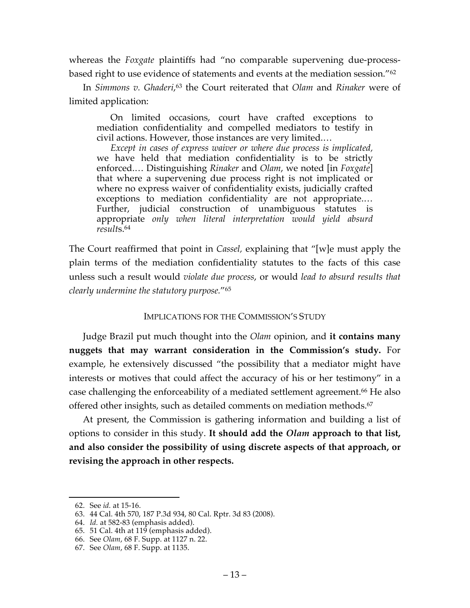whereas the *Foxgate* plaintiffs had "no comparable supervening due-processbased right to use evidence of statements and events at the mediation session."62

In *Simmons v. Ghaderi*, <sup>63</sup> the Court reiterated that *Olam* and *Rinaker* were of limited application:

On limited occasions, court have crafted exceptions to mediation confidentiality and compelled mediators to testify in civil actions. However, those instances are very limited.…

*Except in cases of express waiver or where due process is implicated,* we have held that mediation confidentiality is to be strictly enforced.… Distinguishing *Rinaker* and *Olam*, we noted [in *Foxgate*] that where a supervening due process right is not implicated or where no express waiver of confidentiality exists, judicially crafted exceptions to mediation confidentiality are not appropriate.… Further, judicial construction of unambiguous statutes is appropriate *only when literal interpretation would yield absurd result*s.64

The Court reaffirmed that point in *Cassel,* explaining that "[w]e must apply the plain terms of the mediation confidentiality statutes to the facts of this case unless such a result would *violate due process*, or would *lead to absurd results that clearly undermine the statutory purpose.*"65

### IMPLICATIONS FOR THE COMMISSION'S STUDY

Judge Brazil put much thought into the *Olam* opinion, and **it contains many nuggets that may warrant consideration in the Commission's study.** For example, he extensively discussed "the possibility that a mediator might have interests or motives that could affect the accuracy of his or her testimony" in a case challenging the enforceability of a mediated settlement agreement.<sup>66</sup> He also offered other insights, such as detailed comments on mediation methods.<sup>67</sup>

At present, the Commission is gathering information and building a list of options to consider in this study. **It should add the** *Olam* **approach to that list, and also consider the possibility of using discrete aspects of that approach, or revising the approach in other respects.**

 <sup>62.</sup> See *id.* at 15-16.

<sup>63.</sup> 44 Cal. 4th 570, 187 P.3d 934, 80 Cal. Rptr. 3d 83 (2008).

<sup>64.</sup> *Id.* at 582-83 (emphasis added).

<sup>65.</sup> 51 Cal. 4th at 119 (emphasis added).

<sup>66.</sup> See *Olam*, 68 F. Supp. at 1127 n. 22.

<sup>67.</sup> See *Olam*, 68 F. Supp. at 1135.